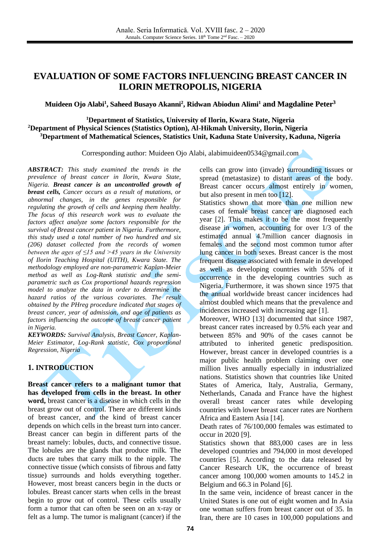## **EVALUATION OF SOME FACTORS INFLUENCING BREAST CANCER IN ILORIN METROPOLIS, NIGERIA**

### **Muideen Ojo Alabi 1 , Saheed Busayo Akanni 2 , Ridwan Abiodun Alimi <sup>1</sup> and Magdaline Peter 3**

**<sup>1</sup>Department of Statistics, University of Ilorin, Kwara State, Nigeria <sup>2</sup>Department of Physical Sciences (Statistics Option), Al-Hikmah University, Ilorin, Nigeria <sup>3</sup>Department of Mathematical Sciences, Statistics Unit, Kaduna State University, Kaduna, Nigeria**

Corresponding author: Muideen Ojo Alabi, alabimuideen0534@gmail.com

*ABSTRACT: This study examined the trends in the prevalence of breast cancer in Ilorin, Kwara State, Nigeria. Breast cancer is an uncontrolled growth of breast cells, Cancer occurs as a result of mutations, or abnormal changes, in the genes responsible for regulating the growth of cells and keeping them healthy. The focus of this research work was to evaluate the factors affect analyze some factors responsible for the survival of Breast cancer patient in Nigeria. Furthermore, this study used a total number of two hundred and six (206) dataset collected from the records of women between the ages of ≤15 and >45 years in the University of Ilorin Teaching Hospital (UITH), Kwara State. The methodology employed are non-parametric Kaplan-Meier method as well as Log-Rank statistic and the semiparametric such as Cox proportional hazards regression model to analyze the data in order to determine the hazard ratios of the various covariates. The result obtained by the PHreg procedure indicated that stages of breast cancer, year of admission, and age of patients as factors influencing the outcome of breast cancer patient in Nigeria.*

*KEYWORDS: Survival Analysis, Breast Cancer, Kaplan-Meier Estimator, Log-Rank statistic, Cox proportional Regression, Nigeria*

#### **1. INTRODUCTION**

**Breast cancer refers to a malignant tumor that has developed from cells in the breast. In other word,** breast cancer is a disease in which cells in the breast grow out of control. There are different kinds of breast cancer, and the kind of breast cancer depends on which cells in the breast turn into cancer. Breast cancer can begin in different parts of the breast namely: lobules, ducts, and connective tissue. The lobules are the glands that produce milk. The ducts are tubes that carry milk to the nipple. The connective tissue (which consists of fibrous and fatty tissue) surrounds and holds everything together. However, most breast cancers begin in the ducts or lobules. Breast cancer starts when cells in the breast begin to grow out of control. These cells usually form a tumor that can often be seen on an x-ray or felt as a lump. The tumor is malignant (cancer) if the cells can grow into (invade) surrounding tissues or spread (metastasize) to distant areas of the body. Breast cancer occurs almost entirely in women, but also present in men too [\[12\].](#page-3-0)

Statistics shown that more than one million new cases of female breast cancer are diagnosed each year [\[2\].](#page-3-1) This makes it to be the most frequently disease in women, accounting for over 1/3 of the estimated annual 4.7million cancer diagnosis in females and the second most common tumor after lung cancer in both sexes. Breast cancer is the most frequent disease associated with female in developed as well as developing countries with 55% of it occurrence in the developing countries such as Nigeria. Furthermore, it was shown since 1975 that the annual worldwide breast cancer incidences had almost doubled which means that the prevalence and incidences increased with increasing age [\[1\].](#page-3-2)

Moreover, WHO [\[13\]](#page-3-3) documented that since 1987, breast cancer rates increased by 0.5% each year and between 85% and 90% of the cases cannot be attributed to inherited genetic predisposition. However, breast cancer in developed countries is a major public health problem claiming over one million lives annually especially in industrialized nations. Statistics shown that countries like United States of America, Italy, Australia, Germany, Netherlands, Canada and France have the highest overall breast cancer rates while developing countries with lower breast cancer rates are Northern Africa and Eastern Asia [\[14\].](#page-3-4)

Death rates of 76/100,000 females was estimated to occur in 2020 [\[9\].](#page-3-5)

Statistics shown that 883,000 cases are in less developed countries and 794,000 in most developed countries [\[5\].](#page-3-6) According to the data released by Cancer Research UK, the occurrence of breast cancer among 100,000 women amounts to 145.2 in Belgium and 66.3 in Poland [\[6\].](#page-3-7)

In the same vein, incidence of breast cancer in the United States is one out of eight women and In Asia one woman suffers from breast cancer out of 35. In Iran, there are 10 cases in 100,000 populations and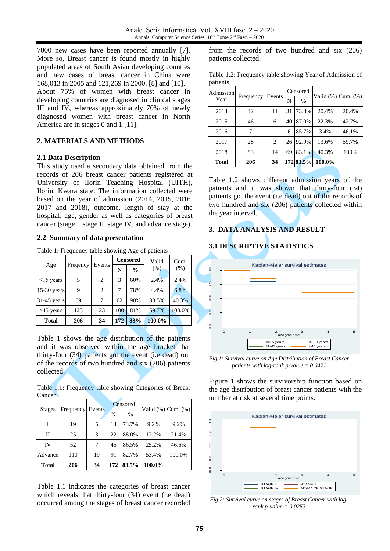7000 new cases have been reported annually [\[7\].](#page-3-8) More so, Breast cancer is found mostly in highly populated areas of South Asian developing counties and new cases of breast cancer in China were 168,013 in 2005 and 121,269 in 2000. [\[8\]](#page-3-9) and [\[10\].](#page-3-10)

About 75% of women with breast cancer in developing countries are diagnosed in clinical stages III and IV, whereas approximately 70% of newly diagnosed women with breast cancer in North America are in stages 0 and 1 [\[11\].](#page-3-11)

### **2. MATERIALS AND METHODS**

#### **2.1 Data Description**

This study used a secondary data obtained from the records of 206 breast cancer patients registered at University of Ilorin Teaching Hospital (UITH), Ilorin, Kwara state. The information collected were based on the year of admission (2014, 2015, 2016, 2017 and 2018), outcome, length of stay at the hospital, age, gender as well as categories of breast cancer (stage I, stage II, stage IV, and advance stage).

#### **2.2 Summary of data presentation**

Table 1: Frequency table showing Age of patients

|                 |          |        | <b>Censored</b> |               | Valid  | Cum.   |
|-----------------|----------|--------|-----------------|---------------|--------|--------|
| Age             | Freqency | Events | N               | $\frac{6}{9}$ | (% )   | (% )   |
| $\leq$ 15 years | 5        | 2      | 3               | 60%           | 2.4%   | 2.4%   |
| 15-30 years     | 9        | 2      | 7               | 78%           | 4.4%   | 6.8%   |
| $31-45$ years   | 69       | 7      | 62              | 90%           | 33.5%  | 40.3%  |
| $>45$ years     | 123      | 23     | 100             | 81%           | 59.7%  | 100.0% |
| <b>Total</b>    | 206      | 34     | 172             | 83%           | 100.0% |        |

Table 1 shows the age distribution of the patients and it was observed within the age bracket that thirty-four (34) patients got the event (i.e dead) out of the records of two hundred and six (206) patients collected.

Table 1.1: Frequency table showing Categories of Breast **Cancer** 

|               |           |        | Censored |       |        | Valid $(\%)$ Cum. $(\%)$ |
|---------------|-----------|--------|----------|-------|--------|--------------------------|
| <b>Stages</b> | Frequency | Events | N        | $\%$  |        |                          |
|               | 19        |        | 14       | 73.7% | 9.2%   | 9.2%                     |
| $\mathbf{I}$  | 25        | 3      | 22       | 88.0% | 12.2%  | 21.4%                    |
| IV            | 52        |        | 45       | 86.5% | 25.2%  | 46.6%                    |
| Advance       | 110       | 19     | 91       | 82.7% | 53.4%  | 100.0%                   |
| <b>Total</b>  | 206       | 34     | 172      | 83.5% | 100.0% |                          |

Table 1.1 indicates the categories of breast cancer which reveals that thirty-four (34) event (i.e dead) occurred among the stages of breast cancer recorded

from the records of two hundred and six (206) patients collected.

Table 1.2: Frequency table showing Year of Admission of patients

| Admission    |           |        |    | Censored  |        | Valid (%) Cum. (%) |
|--------------|-----------|--------|----|-----------|--------|--------------------|
| Year         | Frequency | Events | N  | $\%$      |        |                    |
| 2014         | 42        | 11     | 31 | 73.8%     | 20.4%  | 20.4%              |
| 2015         | 46        | 6      | 40 | 87.0%     | 22.3%  | 42.7%              |
| 2016         | 7         | 1      | 6  | 85.7%     | 3.4%   | 46.1%              |
| 2017         | 28        | 2      | 26 | 92.9%     | 13.6%  | 59.7%              |
| 2018         | 83        | 14     | 69 | 83.1%     | 40.3%  | 100%               |
| <b>Total</b> | 206       | 34     |    | 172 83.5% | 100.0% |                    |

Table 1.2 shows different admission years of the patients and it was shown that thirty-four (34) patients got the event (i.e dead) out of the records of two hundred and six (206) patients collected within the year interval.

### **3. DATA ANALYSIS AND RESULT**

### **3.1 DESCRIPTIVE STATISTICS**



*Fig 1: Survival curve on Age Distribution of Breast Cancer patients with log-rank p-value = 0.0421*

Figure 1 shows the survivorship function based on the age distribution of breast cancer patients with the number at risk at several time points.



*Fig 2: Survival curve on stages of Breast Cancer with logrank p-value = 0.0253*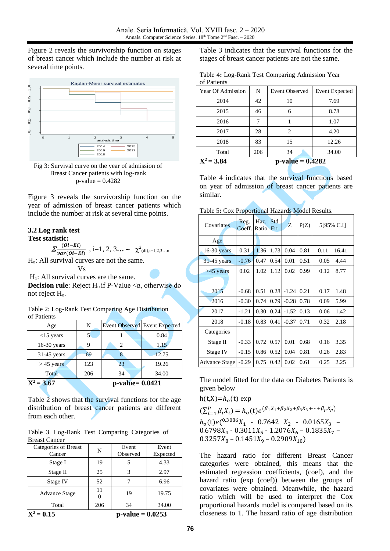Figure 2 reveals the survivorship function on stages of breast cancer which include the number at risk at several time points.



Fig 3: Survival curve on the year of admission of Breast Cancer patients with log-rank  $p$ -value = 0.4282

Figure 3 reveals the survivorship function on the year of admission of breast cancer patients which include the number at risk at several time points.

# **3.2 Log rank test**

**Test statistic:**

 $\sum \frac{(0i-Ei)}{2}$  $\frac{(U - EL)}{var(Oi - Et)}$ , i=1, 2, 3... ~  $\chi^2$ <sub>(df),i=1,2,3...n</sub>

Ho: All survival curves are not the same.

Vs

 $H<sub>1</sub>$ : All survival curves are the same.

**Decision rule**: Reject  $H_0$  if P-Value  $\lt\alpha$ , otherwise do not reject  $H<sub>o</sub>$ .

| Table 2: Log-Rank Test Comparing Age Distribution |  |  |
|---------------------------------------------------|--|--|
| of Patients                                       |  |  |

| Age           | N   |                      | <b>Event Observed Event Expected</b> |
|---------------|-----|----------------------|--------------------------------------|
| $<$ 15 years  |     |                      | 0.84                                 |
| $16-30$ years |     |                      | 1.15                                 |
| $31-45$ years | 69  |                      | 12.75                                |
| $> 45$ years  | 123 | 23                   | 19.26                                |
| Total         | 206 | 34                   | 34.00                                |
| $X^2 = 3.67$  |     | $p$ -value= $0.0421$ |                                      |

Table  $\overline{2}$  shows that the survival functions for the age distribution of breast cancer patients are different from each other.

Table 3: Log-Rank Test Comparing Categories of Breast Cancer

| Total<br>$X^2 = 0.15$          | 206 | 34<br>$p-value = 0.0253$ | 34.00             |
|--------------------------------|-----|--------------------------|-------------------|
| <b>Advance Stage</b>           | 11  | 19                       | 19.75             |
| Stage IV                       | 52  |                          | 6.96              |
| Stage II                       | 25  | 3                        | 2.97              |
| Stage I                        | 19  |                          | 4.33              |
| Categories of Breast<br>Cancer | N   | Event<br>Observed        | Event<br>Expected |

Table 3 indicates that the survival functions for the stages of breast cancer patients are not the same.

| Table 4: Log-Rank Test Comparing Admission Year |  |
|-------------------------------------------------|--|
| of Patients                                     |  |

| Year Of Admission | N   | <b>Event Observed</b> | <b>Event Expected</b> |
|-------------------|-----|-----------------------|-----------------------|
| 2014              | 42  | 10                    | 7.69                  |
| 2015              | 46  | 6                     | 8.78                  |
| 2016              |     |                       | 1.07                  |
| 2017              | 28  | 2                     | 4.20                  |
| 2018              | 83  | 15                    | 12.26                 |
| Total             | 206 | 34                    | 34.00                 |
| $X^2 = 3.84$      |     | $p-value = 0.4282$    |                       |

Table 4 indicates that the survival functions based on year of admission of breast cancer patients are similar.

|  |  | Table 5: Cox Proportional Hazards Model Results. |
|--|--|--------------------------------------------------|
|  |  |                                                  |

| Covariates           | ---- <del>--</del> ----<br>Reg.<br>Coeff. | Haz.<br>Ratio | Std.<br>Err. | Z       | P(Z) | 5195% C.I]    |
|----------------------|-------------------------------------------|---------------|--------------|---------|------|---------------|
| Age                  |                                           |               |              |         |      |               |
| 16-30 years          | 0.31                                      | 1.36          | 1.73         | 0.04    | 0.81 | 0.11<br>16.41 |
| 31-45 years          | $-0.76$                                   | 0.47          | 0.54         | 0.01    | 0.51 | 0.05<br>4.44  |
| >45 years            | 0.02                                      | 1.02          | 1.12         | 0.02    | 0.99 | 0.12<br>8.77  |
|                      |                                           |               |              |         |      |               |
| 2015                 | $-0.68$                                   | 0.51          | 0.28         | $-1.24$ | 0.21 | 0.17<br>1.48  |
| 2016                 | $-0.30$                                   | 0.74          | 0.79         | $-0.28$ | 0.78 | 0.09<br>5.99  |
| 2017                 | $-1.21$                                   | 0.30          | 0.24         | $-1.52$ | 0.13 | 0.06<br>1.42  |
| 2018                 | $-0.18$                                   | 0.83          | 0.41         | $-0.37$ | 0.71 | 0.32<br>2.18  |
| Categories           |                                           |               |              |         |      |               |
| Stage II             | $-0.33$                                   | 0.72          | 0.57         | 0.01    | 0.68 | 0.16<br>3.35  |
| Stage IV             | $-0.15$                                   | 0.86          | 0.52         | 0.04    | 0.81 | 0.26<br>2.83  |
| <b>Advance Stage</b> | $-0.29$                                   | 0.75          | 0.42         | 0.02    | 0.61 | 0.25<br>2.25  |

The model fitted for the data on Diabetes Patients is given below

 $h(t,X)=h_0(t)$  exp

 $(\sum_{i=1}^p \beta_i X_i$  $P_{i=1}^p \beta_i X_i) = h_o(t) e^{(\beta_1 X_1 + \beta_2 X_2 + \beta_3 X_3 + \cdots + \beta_p X_p)}$  $h_o(t)e^{(0.3086}X_1 - 0.7642X_2 - 0.0165X_3 0.6798X_4 - 0.3011X_5 - 1.2076X_6 - 0.1835X_7 0.3257X_8 - 0.1451X_9 - 0.2909X_{10}$ 

The hazard ratio for different Breast Cancer categories were obtained, this means that the estimated regression coefficients, (coef), and the hazard ratio (exp (coef)) between the groups of covariates were obtained. Meanwhile, the hazard ratio which will be used to interpret the Cox proportional hazards model is compared based on its closeness to 1. The hazard ratio of age distribution